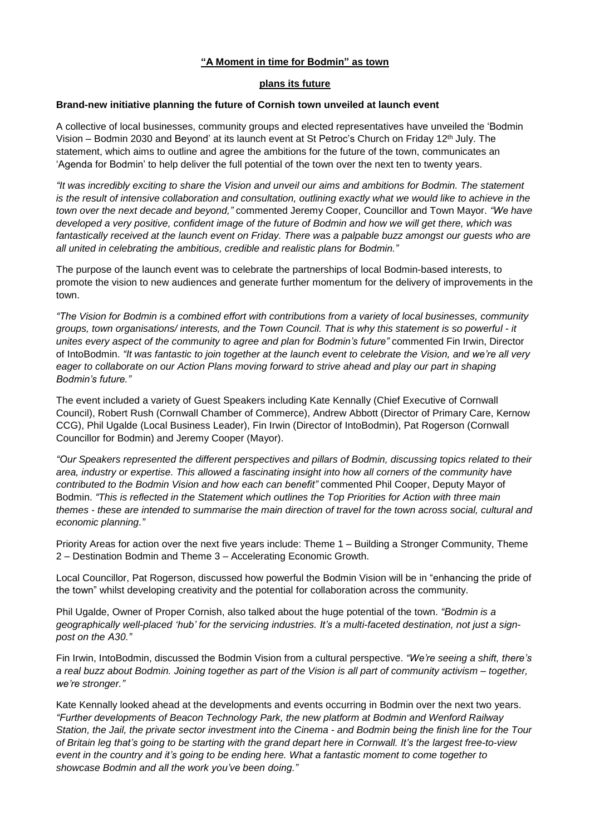## **"A Moment in time for Bodmin" as town**

## **plans its future**

## **Brand-new initiative planning the future of Cornish town unveiled at launch event**

A collective of local businesses, community groups and elected representatives have unveiled the 'Bodmin Vision – Bodmin 2030 and Beyond' at its launch event at St Petroc's Church on Friday 12th July. The statement, which aims to outline and agree the ambitions for the future of the town, communicates an 'Agenda for Bodmin' to help deliver the full potential of the town over the next ten to twenty years.

"It was incredibly exciting to share the Vision and unveil our aims and ambitions for Bodmin. The statement is the result of intensive collaboration and consultation, outlining exactly what we would like to achieve in the *town over the next decade and beyond,"* commented Jeremy Cooper, Councillor and Town Mayor. *"We have* developed a very positive, confident image of the future of Bodmin and how we will get there, which was fantastically received at the launch event on Friday. There was a palpable buzz amongst our guests who are *all united in celebrating the ambitious, credible and realistic plans for Bodmin."*

The purpose of the launch event was to celebrate the partnerships of local Bodmin-based interests, to promote the vision to new audiences and generate further momentum for the delivery of improvements in the town.

"The Vision for Bodmin is a combined effort with contributions from a variety of local businesses, community groups, town organisations/interests, and the Town Council. That is why this statement is so powerful - it *unites every aspect of the community to agree and plan for Bodmin's future"* commented Fin Irwin, Director of IntoBodmin. "It was fantastic to join together at the launch event to celebrate the Vision, and we're all very eager to collaborate on our Action Plans moving forward to strive ahead and play our part in shaping *Bodmin's future."*

The event included a variety of Guest Speakers including Kate Kennally (Chief Executive of Cornwall Council), Robert Rush (Cornwall Chamber of Commerce), Andrew Abbott (Director of Primary Care, Kernow CCG), Phil Ugalde (Local Business Leader), Fin Irwin (Director of IntoBodmin), Pat Rogerson (Cornwall Councillor for Bodmin) and Jeremy Cooper (Mayor).

*"Our Speakers represented the different perspectives and pillars of Bodmin, discussing topics related to their* area, industry or expertise. This allowed a fascinating insight into how all corners of the community have *contributed to the Bodmin Vision and how each can benefit"* commented Phil Cooper, Deputy Mayor of Bodmin. *"This is reflected in the Statement which outlines the Top Priorities for Action with three main* themes - these are intended to summarise the main direction of travel for the town across social, cultural and *economic planning."*

Priority Areas for action over the next five years include: Theme 1 – Building a Stronger Community, Theme 2 – Destination Bodmin and Theme 3 – Accelerating Economic Growth.

Local Councillor, Pat Rogerson, discussed how powerful the Bodmin Vision will be in "enhancing the pride of the town" whilst developing creativity and the potential for collaboration across the community.

Phil Ugalde, Owner of Proper Cornish, also talked about the huge potential of the town. *"Bodmin is a geographically well-placed 'hub' for the servicing industries. It's a multi-faceted destination, not just a signpost on the A30."*

Fin Irwin, IntoBodmin, discussed the Bodmin Vision from a cultural perspective. *"We're seeing a shift, there's* a real buzz about Bodmin. Joining together as part of the Vision is all part of community activism – together, *we're stronger."*

Kate Kennally looked ahead at the developments and events occurring in Bodmin over the next two years. *"Further developments of Beacon Technology Park, the new platform at Bodmin and Wenford Railway* Station, the Jail, the private sector investment into the Cinema - and Bodmin being the finish line for the Tour of Britain leg that's going to be starting with the grand depart here in Cornwall. It's the largest free-to-view event in the country and it's going to be ending here. What a fantastic moment to come together to *showcase Bodmin and all the work you've been doing."*